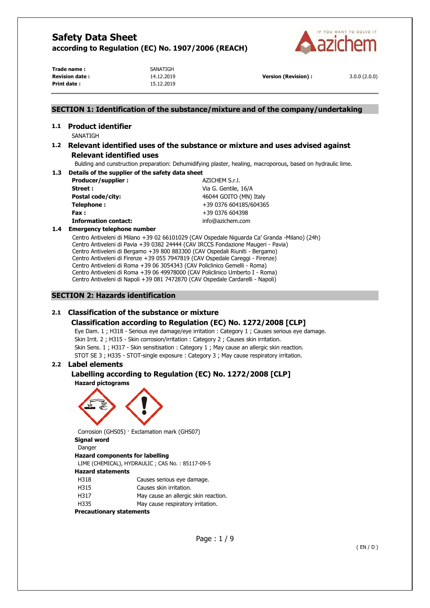

Trade name : **SANATIGH Revision date :** 14.12.2019 **Version (Revision) :** 3.0.0 (2.0.0) **Print date :** 15.12.2019

## **SECTION 1: Identification of the substance/mixture and of the company/undertaking**

# **1.1 Product identifier**

SANATIGH

## **1.2 Relevant identified uses of the substance or mixture and uses advised against Relevant identified uses**

Bulding and cunstruction preparation: Dehumidifying plaster, healing, macroporous, based on hydraulic lime.

**1.3 Details of the supplier of the safety data sheet Producer/supplier :**  $AZICHEM S.r.l.$ **Street :** Via G. Gentile, 16/A

**Postal code/city:**  $46044 \text{ GOITO (MN) Italy}$ **Telephone :**  $+39\,0376\,604185/604365$ **Fax :** +39 0376 604398 **Information contact:** info@azichem.com

## **1.4 Emergency telephone number**

Centro Antiveleni di Milano +39 02 66101029 (CAV Ospedale Niguarda Ca' Granda -Milano) (24h) Centro Antiveleni di Pavia +39 0382 24444 (CAV IRCCS Fondazione Maugeri - Pavia) Centro Antiveleni di Bergamo +39 800 883300 (CAV Ospedali Riuniti - Bergamo) Centro Antiveleni di Firenze +39 055 7947819 (CAV Ospedale Careggi - Firenze) Centro Antiveleni di Roma +39 06 3054343 (CAV Policlinico Gemelli - Roma) Centro Antiveleni di Roma +39 06 49978000 (CAV Policlinico Umberto I - Roma) Centro Antiveleni di Napoli +39 081 7472870 (CAV Ospedale Cardarelli - Napoli)

# **SECTION 2: Hazards identification**

# **2.1 Classification of the substance or mixture**

# **Classification according to Regulation (EC) No. 1272/2008 [CLP]**

Eye Dam. 1 ; H318 - Serious eye damage/eye irritation : Category 1 ; Causes serious eye damage. Skin Irrit. 2 ; H315 - Skin corrosion/irritation : Category 2 ; Causes skin irritation. Skin Sens. 1 ; H317 - Skin sensitisation : Category 1 ; May cause an allergic skin reaction. STOT SE 3 ; H335 - STOT-single exposure : Category 3 ; May cause respiratory irritation.

# **2.2 Label elements**

## **Labelling according to Regulation (EC) No. 1272/2008 [CLP] Hazard pictograms**



Corrosion (GHS05) · Exclamation mark (GHS07) **Signal word** 

## Danger

**Hazard components for labelling**  LIME (CHEMICAL), HYDRAULIC ; CAS No. : 85117-09-5 **Hazard statements**  H318 Causes serious eye damage. H315 Causes skin irritation. H317 May cause an allergic skin reaction.

H335 May cause respiratory irritation.

**Precautionary statements**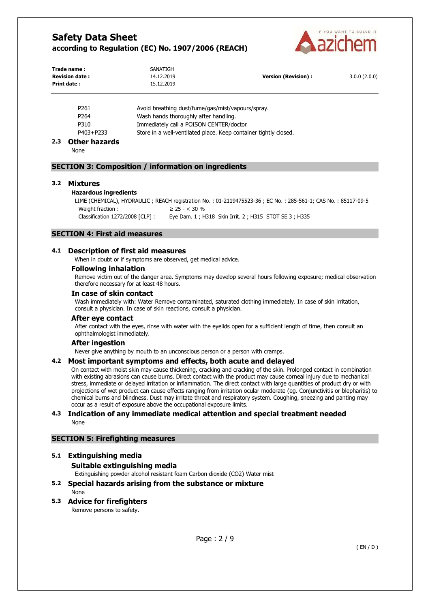

| Trade name:<br><b>Revision date:</b> | SANATIGH<br>14.12.2019                            | <b>Version (Revision):</b> | 3.0.0(2.0.0) |
|--------------------------------------|---------------------------------------------------|----------------------------|--------------|
| Print date:                          | 15.12.2019                                        |                            |              |
| P261                                 | Avoid breathing dust/fume/gas/mist/vapours/spray. |                            |              |

P264 Wash hands thoroughly after handling.

P310 Immediately call a POISON CENTER/doctor

P403+P233 Store in a well-ventilated place. Keep container tightly closed.

## **2.3 Other hazards**

None

## **SECTION 3: Composition / information on ingredients**

#### **3.2 Mixtures**

#### **Hazardous ingredients**

```
LIME (CHEMICAL), HYDRAULIC ; REACH registration No. : 01-2119475523-36 ; EC No. : 285-561-1; CAS No. : 85117-09-5 
Weight fraction : \geq 25 - < 30\%Classification 1272/2008 [CLP] : Eye Dam. 1 ; H318 Skin Irrit. 2 ; H315 STOT SE 3 ; H335
```
### **SECTION 4: First aid measures**

### **4.1 Description of first aid measures**

When in doubt or if symptoms are observed, get medical advice.

#### **Following inhalation**

Remove victim out of the danger area. Symptoms may develop several hours following exposure; medical observation therefore necessary for at least 48 hours.

#### **In case of skin contact**

Wash immediately with: Water Remove contaminated, saturated clothing immediately. In case of skin irritation, consult a physician. In case of skin reactions, consult a physician.

#### **After eye contact**

After contact with the eyes, rinse with water with the eyelids open for a sufficient length of time, then consult an ophthalmologist immediately.

#### **After ingestion**

Never give anything by mouth to an unconscious person or a person with cramps.

#### **4.2 Most important symptoms and effects, both acute and delayed**

On contact with moist skin may cause thickening, cracking and cracking of the skin. Prolonged contact in combination with existing abrasions can cause burns. Direct contact with the product may cause corneal injury due to mechanical stress, immediate or delayed irritation or inflammation. The direct contact with large quantities of product dry or with projections of wet product can cause effects ranging from irritation ocular moderate (eg. Conjunctivitis or blepharitis) to chemical burns and blindness. Dust may irritate throat and respiratory system. Coughing, sneezing and panting may occur as a result of exposure above the occupational exposure limits.

### **4.3 Indication of any immediate medical attention and special treatment needed**  None

## **SECTION 5: Firefighting measures**

## **5.1 Extinguishing media**

#### **Suitable extinguishing media**

Extinguishing powder alcohol resistant foam Carbon dioxide (CO2) Water mist

## **5.2 Special hazards arising from the substance or mixture**  None

## **5.3 Advice for firefighters**

Remove persons to safety.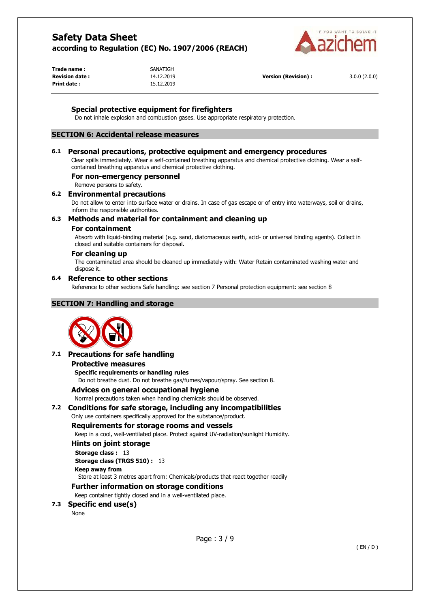

Trade name : **SANATIGH Print date :** 15.12.2019

**Revision date :** 14.12.2019 **Version (Revision) :** 3.0.0 (2.0.0)

## **Special protective equipment for firefighters**

Do not inhale explosion and combustion gases. Use appropriate respiratory protection.

# **SECTION 6: Accidental release measures**

## **6.1 Personal precautions, protective equipment and emergency procedures**

Clear spills immediately. Wear a self-contained breathing apparatus and chemical protective clothing. Wear a selfcontained breathing apparatus and chemical protective clothing.

## **For non-emergency personnel**

Remove persons to safety.

### **6.2 Environmental precautions**

Do not allow to enter into surface water or drains. In case of gas escape or of entry into waterways, soil or drains, inform the responsible authorities.

## **6.3 Methods and material for containment and cleaning up**

#### **For containment**

Absorb with liquid-binding material (e.g. sand, diatomaceous earth, acid- or universal binding agents). Collect in closed and suitable containers for disposal.

### **For cleaning up**

The contaminated area should be cleaned up immediately with: Water Retain contaminated washing water and dispose it.

## **6.4 Reference to other sections**

Reference to other sections Safe handling: see section 7 Personal protection equipment: see section 8

## **SECTION 7: Handling and storage**



## **7.1 Precautions for safe handling**

#### **Protective measures**

**Specific requirements or handling rules**  Do not breathe dust. Do not breathe gas/fumes/vapour/spray. See section 8.

# **Advices on general occupational hygiene**

Normal precautions taken when handling chemicals should be observed.

## **7.2 Conditions for safe storage, including any incompatibilities**

Only use containers specifically approved for the substance/product.

## **Requirements for storage rooms and vessels**

Keep in a cool, well-ventilated place. Protect against UV-radiation/sunlight Humidity.

#### **Hints on joint storage**

**Storage class : 13** 

## **Storage class (TRGS 510) :** 13

#### **Keep away from**

Store at least 3 metres apart from: Chemicals/products that react together readily

## **Further information on storage conditions**

Keep container tightly closed and in a well-ventilated place.

## **7.3 Specific end use(s)**

None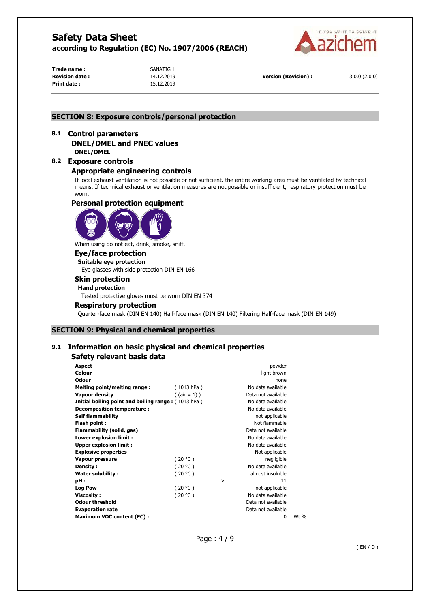

Trade name : **SANATIGH Print date :** 15.12.2019

**Revision date :** 14.12.2019 **Version (Revision) :** 3.0.0 (2.0.0)

## **SECTION 8: Exposure controls/personal protection**

## **8.1 Control parameters DNEL/DMEL and PNEC values DNEL/DMEL**

**8.2 Exposure controls** 

## **Appropriate engineering controls**

If local exhaust ventilation is not possible or not sufficient, the entire working area must be ventilated by technical means. If technical exhaust or ventilation measures are not possible or insufficient, respiratory protection must be worn.

## **Personal protection equipment**



When using do not eat, drink, smoke, sniff.

## **Eye/face protection**

**Suitable eye protection**  Eye glasses with side protection DIN EN 166

#### **Skin protection**

#### **Hand protection**

Tested protective gloves must be worn DIN EN 374

### **Respiratory protection**

Quarter-face mask (DIN EN 140) Half-face mask (DIN EN 140) Filtering Half-face mask (DIN EN 149)

## **SECTION 9: Physical and chemical properties**

# **9.1 Information on basic physical and chemical properties**

## **Safety relevant basis data**

| Aspect                                                                          | powder    |
|---------------------------------------------------------------------------------|-----------|
| Colour<br>light brown                                                           |           |
| <b>Odour</b>                                                                    | none      |
| (1013 hPa)<br>No data available<br>Melting point/melting range:                 |           |
| $($ (air = 1) )<br>Vapour density<br>Data not available                         |           |
| <b>Initial boiling point and boiling range: (1013 hPa)</b><br>No data available |           |
| Decomposition temperature:<br>No data available                                 |           |
| <b>Self flammability</b><br>not applicable                                      |           |
| Not flammable<br>Flash point :                                                  |           |
| Flammability (solid, gas)<br>Data not available                                 |           |
| Lower explosion limit :<br>No data available                                    |           |
| <b>Upper explosion limit:</b><br>No data available                              |           |
| <b>Explosive properties</b><br>Not applicable                                   |           |
| (20 °C)<br>negligible<br><b>Vapour pressure</b>                                 |           |
| (20 °C)<br>Density :<br>No data available                                       |           |
| (20 °C)<br>almost insoluble<br>Water solubility:                                |           |
| pH :<br>$\geq$                                                                  | 11        |
| (20 °C)<br><b>Log Pow</b><br>not applicable                                     |           |
| (20 °C)<br>No data available<br>Viscosity :                                     |           |
| <b>Odour threshold</b><br>Data not available                                    |           |
| <b>Evaporation rate</b><br>Data not available                                   |           |
| <b>Maximum VOC content (EC):</b>                                                | Wt %<br>0 |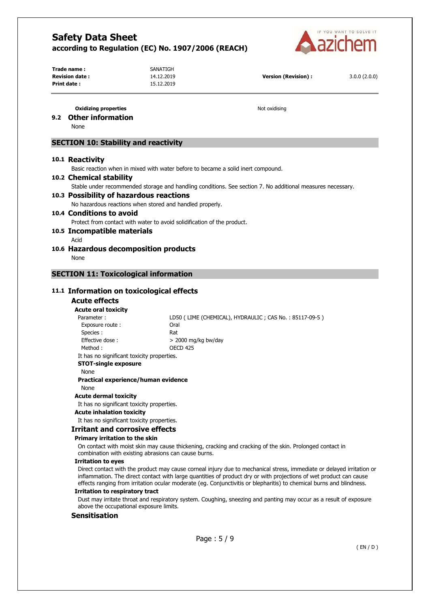

Trade name : **SANATIGH Revision date :** 14.12.2019 **Version (Revision) :** 3.0.0 (2.0.0) **Print date :** 15.12.2019

### **Oxidizing properties Notified Allen and Security Properties Notified Allen Allen Allen Allen Allen Allen Allen Allen Allen Allen Allen Allen Allen Allen Allen Allen Allen Allen Allen Allen Allen Allen Allen Allen Alle**

## **9.2 Other information**

None

# **SECTION 10: Stability and reactivity**

#### **10.1 Reactivity**

Basic reaction when in mixed with water before to became a solid inert compound.

#### **10.2 Chemical stability**

Stable under recommended storage and handling conditions. See section 7. No additional measures necessary.

#### **10.3 Possibility of hazardous reactions**

No hazardous reactions when stored and handled properly.

#### **10.4 Conditions to avoid**

Protect from contact with water to avoid solidification of the product.

#### **10.5 Incompatible materials**

- Acid
- **10.6 Hazardous decomposition products**  None

#### **SECTION 11: Toxicological information**

### **11.1 Information on toxicological effects**

#### **Acute effects**

#### **Acute oral toxicity**

| Parameter:                                | LD50 (LIME (CHEMICAL), HYDRAULIC; CAS No.: 85117-09-5) |
|-------------------------------------------|--------------------------------------------------------|
| Exposure route:                           | Oral                                                   |
| Species:                                  | Rat                                                    |
| Effective dose:                           | $>$ 2000 mg/kg bw/day                                  |
| Method :                                  | OECD 425                                               |
| It has no significant toxicity proportion |                                                        |

#### It has no significant toxicity properties. **STOT-single exposure**

# None

**Practical experience/human evidence** 

## None

#### **Acute dermal toxicity**

It has no significant toxicity properties.

## **Acute inhalation toxicity**

It has no significant toxicity properties.

## **Irritant and corrosive effects**

#### **Primary irritation to the skin**

On contact with moist skin may cause thickening, cracking and cracking of the skin. Prolonged contact in combination with existing abrasions can cause burns.

#### **Irritation to eyes**

Direct contact with the product may cause corneal injury due to mechanical stress, immediate or delayed irritation or inflammation. The direct contact with large quantities of product dry or with projections of wet product can cause effects ranging from irritation ocular moderate (eg. Conjunctivitis or blepharitis) to chemical burns and blindness.

#### **Irritation to respiratory tract**

Dust may irritate throat and respiratory system. Coughing, sneezing and panting may occur as a result of exposure above the occupational exposure limits.

### **Sensitisation**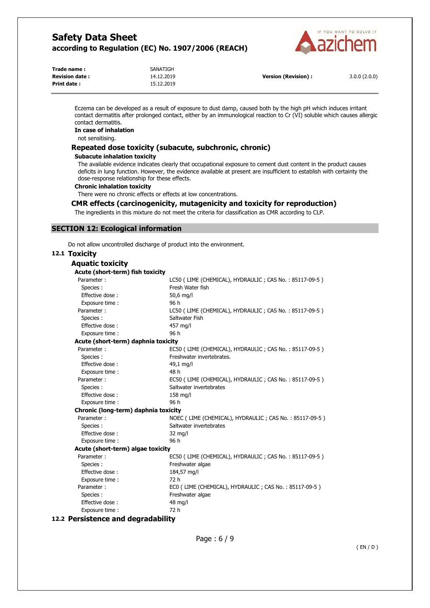

| Trade name:           | SANATIGH   |                            |              |
|-----------------------|------------|----------------------------|--------------|
| <b>Revision date:</b> | 14.12.2019 | <b>Version (Revision):</b> | 3.0.0(2.0.0) |
| Print date :          | 15.12.2019 |                            |              |

Eczema can be developed as a result of exposure to dust damp, caused both by the high pH which induces irritant contact dermatitis after prolonged contact, either by an immunological reaction to Cr (VI) soluble which causes allergic contact dermatitis.

# **In case of inhalation**

not sensitising.

### **Repeated dose toxicity (subacute, subchronic, chronic)**

#### **Subacute inhalation toxicity**

The available evidence indicates clearly that occupational exposure to cement dust content in the product causes deficits in lung function. However, the evidence available at present are insufficient to establish with certainty the dose-response relationship for these effects.

#### **Chronic inhalation toxicity**

There were no chronic effects or effects at low concentrations.

#### **CMR effects (carcinogenicity, mutagenicity and toxicity for reproduction)**

The ingredients in this mixture do not meet the criteria for classification as CMR according to CLP.

#### **SECTION 12: Ecological information**

Do not allow uncontrolled discharge of product into the environment.

# **12.1 Toxicity**

| Aquatic toxicity                     |                                                        |
|--------------------------------------|--------------------------------------------------------|
| Acute (short-term) fish toxicity     |                                                        |
| Parameter:                           | LC50 (LIME (CHEMICAL), HYDRAULIC; CAS No.: 85117-09-5) |
| Species :                            | Fresh Water fish                                       |
| Effective dose:                      | 50,6 mg/l                                              |
| Exposure time :                      | 96 h                                                   |
| Parameter:                           | LC50 (LIME (CHEMICAL), HYDRAULIC; CAS No.: 85117-09-5) |
| Species:                             | Saltwater Fish                                         |
| Effective dose:                      | 457 ma/l                                               |
| Exposure time:                       | 96 h                                                   |
| Acute (short-term) daphnia toxicity  |                                                        |
| Parameter:                           | EC50 (LIME (CHEMICAL), HYDRAULIC; CAS No.: 85117-09-5) |
| Species:                             | Freshwater invertebrates.                              |
| Effective dose:                      | 49,1 mg/l                                              |
| Exposure time :                      | 48 h                                                   |
| Parameter:                           | EC50 (LIME (CHEMICAL), HYDRAULIC; CAS No.: 85117-09-5) |
| Species :                            | Saltwater invertebrates                                |
| Effective dose:                      | 158 mg/l                                               |
| Exposure time :                      | 96 h                                                   |
| Chronic (long-term) daphnia toxicity |                                                        |
| Parameter:                           | NOEC (LIME (CHEMICAL), HYDRAULIC; CAS No.: 85117-09-5) |
| Species :                            | Saltwater invertebrates                                |
| Effective dose:                      | $32 \text{ mg/l}$                                      |
| Exposure time :                      | 96 h                                                   |
| Acute (short-term) algae toxicity    |                                                        |
| Parameter:                           | EC50 (LIME (CHEMICAL), HYDRAULIC; CAS No.: 85117-09-5) |
| Species:                             | Freshwater algae                                       |
| Effective dose:                      | 184,57 mg/l                                            |
| Exposure time:                       | 72 h                                                   |
| Parameter:                           | ECO (LIME (CHEMICAL), HYDRAULIC; CAS No.: 85117-09-5)  |
| Species :                            | Freshwater algae                                       |
| Effective dose:                      | 48 mg/l                                                |
| Exposure time:                       | 72 h                                                   |

## **12.2 Persistence and degradability**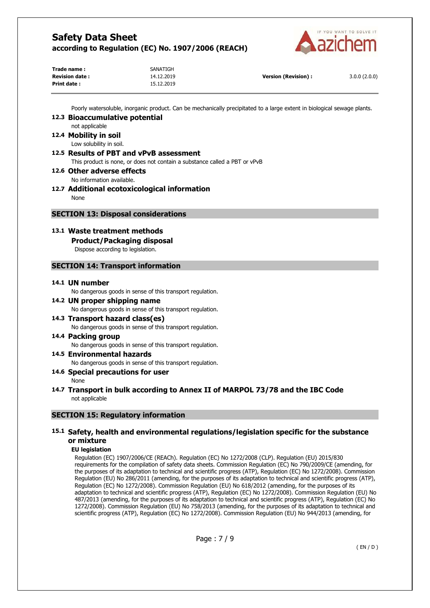

| Trade name:           | SANATIGH   |                      |              |
|-----------------------|------------|----------------------|--------------|
| <b>Revision date:</b> | 14.12.2019 | Version (Revision) : | 3.0.0(2.0.0) |
| Print date :          | 15.12.2019 |                      |              |

Poorly watersoluble, inorganic product. Can be mechanically precipitated to a large extent in biological sewage plants.

# **12.3 Bioaccumulative potential**

## not applicable **12.4 Mobility in soil**

Low solubility in soil.

- **12.5 Results of PBT and vPvB assessment**  This product is none, or does not contain a substance called a PBT or vPvB
- **12.6 Other adverse effects**  No information available.

# **12.7 Additional ecotoxicological information**

None

# **SECTION 13: Disposal considerations**

# **13.1 Waste treatment methods**

# **Product/Packaging disposal**

Dispose according to legislation.

# **SECTION 14: Transport information**

## **14.1 UN number**

No dangerous goods in sense of this transport regulation.

## **14.2 UN proper shipping name**  No dangerous goods in sense of this transport regulation.

# **14.3 Transport hazard class(es)**  No dangerous goods in sense of this transport regulation.

## **14.4 Packing group**  No dangerous goods in sense of this transport regulation.

# **14.5 Environmental hazards**

No dangerous goods in sense of this transport regulation.

# **14.6 Special precautions for user**

None

## **14.7 Transport in bulk according to Annex II of MARPOL 73/78 and the IBC Code**  not applicable

# **SECTION 15: Regulatory information**

## **15.1 Safety, health and environmental regulations/legislation specific for the substance or mixture**

# **EU legislation**

Regulation (EC) 1907/2006/CE (REACh). Regulation (EC) No 1272/2008 (CLP). Regulation (EU) 2015/830 requirements for the compilation of safety data sheets. Commission Regulation (EC) No 790/2009/CE (amending, for the purposes of its adaptation to technical and scientific progress (ATP), Regulation (EC) No 1272/2008). Commission Regulation (EU) No 286/2011 (amending, for the purposes of its adaptation to technical and scientific progress (ATP), Regulation (EC) No 1272/2008). Commission Regulation (EU) No 618/2012 (amending, for the purposes of its adaptation to technical and scientific progress (ATP), Regulation (EC) No 1272/2008). Commission Regulation (EU) No 487/2013 (amending, for the purposes of its adaptation to technical and scientific progress (ATP), Regulation (EC) No 1272/2008). Commission Regulation (EU) No 758/2013 (amending, for the purposes of its adaptation to technical and scientific progress (ATP), Regulation (EC) No 1272/2008). Commission Regulation (EU) No 944/2013 (amending, for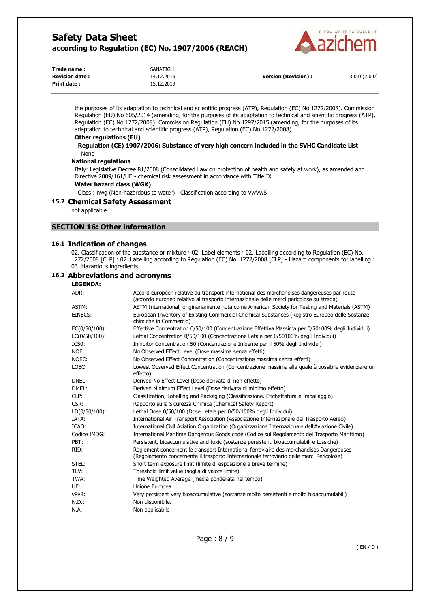

| Trade name:           | SANATIGH   |
|-----------------------|------------|
| <b>Revision date:</b> | 14.12.2019 |
| Print date :          | 15.12.2019 |

**Version (Revision) :** 3.0.0 (2.0.0)

the purposes of its adaptation to technical and scientific progress (ATP), Regulation (EC) No 1272/2008). Commission Regulation (EU) No 605/2014 (amending, for the purposes of its adaptation to technical and scientific progress (ATP), Regulation (EC) No 1272/2008). Commission Regulation (EU) No 1297/2015 (amending, for the purposes of its adaptation to technical and scientific progress (ATP), Regulation (EC) No 1272/2008).

#### **Other regulations (EU)**

#### **Regulation (CE) 1907/2006: Substance of very high concern included in the SVHC Candidate List**  None

#### **National regulations**

Italy: Legislative Decree 81/2008 (Consolidated Law on protection of health and safety at work), as amended and Directive 2009/161/UE - chemical risk assessment in accordance with Title IX

## **Water hazard class (WGK)**

Class : nwg (Non-hazardous to water) Classification according to VwVwS

## **15.2 Chemical Safety Assessment**

not applicable

### **SECTION 16: Other information**

## **16.1 Indication of changes**

02. Classification of the substance or mixture · 02. Label elements · 02. Labelling according to Regulation (EC) No. 1272/2008 [CLP] · 02. Labelling according to Regulation (EC) No. 1272/2008 [CLP] - Hazard components for labelling · 03. Hazardous ingredients

### **16.2 Abbreviations and acronyms**

#### **LEGENDA:**

| ADR:          | Accord européen relative au transport international des marchandises dangereuses par route<br>(accordo europeo relativo al trasporto internazionale delle merci pericolose su strada) |
|---------------|---------------------------------------------------------------------------------------------------------------------------------------------------------------------------------------|
| ASTM:         | ASTM International, originariamente nota come American Society for Testing and Materials (ASTM)                                                                                       |
| EINECS:       | European Inventory of Existing Commercial Chemical Substances (Registro Europeo delle Sostanze<br>chimiche in Commercio)                                                              |
| EC(0/50/100): | Effective Concentration 0/50/100 (Concentrazione Effettiva Massima per 0/50100% degli Individui)                                                                                      |
| LC(0/50/100): | Lethal Concentration 0/50/100 (Concentrazione Letale per 0/50100% degli Individui)                                                                                                    |
| IC50:         | Inhibitor Concentration 50 (Concentrazione Inibente per il 50% degli Individui)                                                                                                       |
| NOEL:         | No Observed Effect Level (Dose massima senza effetti)                                                                                                                                 |
| NOEC:         | No Observed Effect Concentration (Concentrazione massima senza effetti)                                                                                                               |
| LOEC:         | Lowest Observed Effect Concentration (Concentrazione massima alla quale è possibile evidenziare un<br>effetto)                                                                        |
| DNEL:         | Derived No Effect Level (Dose derivata di non effetto)                                                                                                                                |
| DMEL:         | Derived Minimum Effect Level (Dose derivata di minimo effetto)                                                                                                                        |
| CLP:          | Classification, Labelling and Packaging (Classificazione, Etichettatura e Imballaggio)                                                                                                |
| CSR:          | Rapporto sulla Sicurezza Chimica (Chemical Safety Report)                                                                                                                             |
| LD(0/50/100): | Lethal Dose 0/50/100 (Dose Letale per 0/50/100% degli Individui)                                                                                                                      |
| IATA:         | International Air Transport Association (Associazione Internazionale del Trasporto Aereo)                                                                                             |
| ICAO:         | International Civil Aviation Organization (Organizzazione Internazionale dell'Aviazione Civile)                                                                                       |
| Codice IMDG:  | International Maritime Dangerous Goods code (Codice sul Regolamento del Trasporto Marittimo)                                                                                          |
| PBT:          | Persistent, bioaccumulative and toxic (sostanze persistenti bioaccumulabili e tossiche)                                                                                               |
| RID:          | Règlement concernent le transport International ferroviaire des marchandises Dangereuses<br>(Regolamento concernente il trasporto Internazionale ferroviario delle merci Pericolose)  |
| STEL:         | Short term exposure limit (limite di esposizione a breve termine)                                                                                                                     |
| TLV:          | Threshold limit value (soglia di valore limite)                                                                                                                                       |
| TWA:          | Time Weighted Average (media ponderata nel tempo)                                                                                                                                     |
| UE:           | Unione Europea                                                                                                                                                                        |
| vPvB:         | Very persistent very bioaccumulative (sostanze molto persistenti e molto bioaccumulabili)                                                                                             |
| N.D.:         | Non disponibile.                                                                                                                                                                      |
| N.A.:         | Non applicabile                                                                                                                                                                       |
|               |                                                                                                                                                                                       |